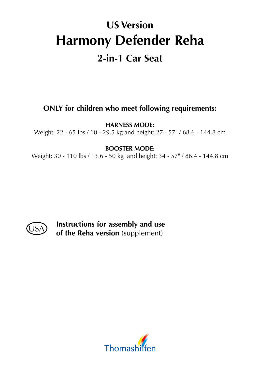# **US Version Harmony Defender Reha 2-in-1 Car Seat**

### **ONLY for children who meet following requirements:**

**HARNESS MODE:** 

Weight: 22 - 65 lbs / 10 - 29.5 kg and height: 27 - 57" / 68.6 - 144.8 cm

#### **BOOSTER MODE:**

Weight: 30 - 110 lbs / 13.6 - 50 kg and height: 34 - 57" / 86.4 - 144.8 cm



**Instructions for assembly and use of the Reha version** (supplement)

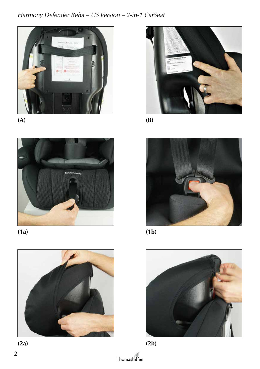### Harmony Defender Reha - US Version - 2-in-1 CarSeat















 $(B)$ 



 $(1b)$ 





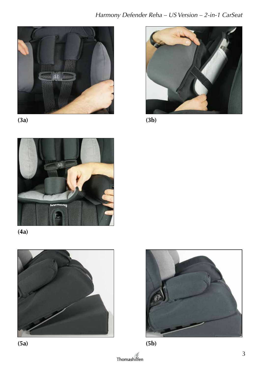













 $(3b)$ 





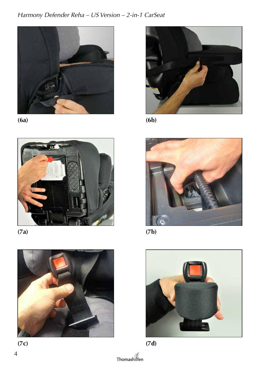### Harmony Defender Reha - US Version - 2-in-1 CarSeat



 $(6a)$ 











 $(6b)$ 



 $(7b)$ 





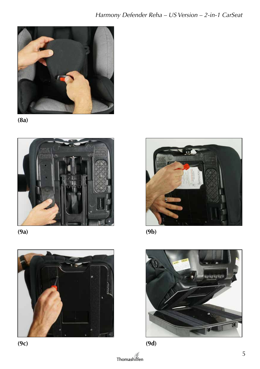





 $(9a)$ 







 $(9b)$ 





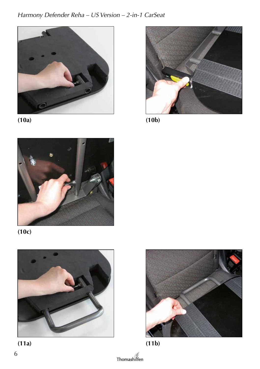#### Harmony Defender Reha - US Version - 2-in-1 CarSeat















 $(10<sub>b</sub>)$ 





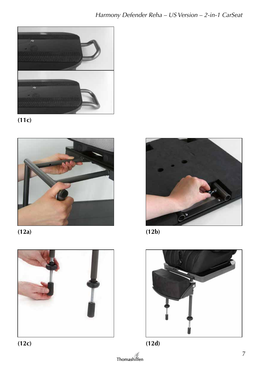





 $(12a)$ 











Thomashilfen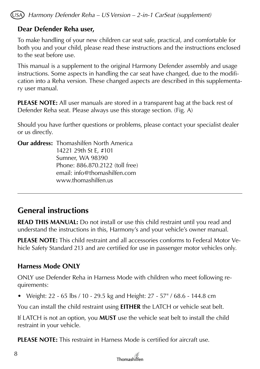*Harmony Defender Reha – US Version – 2-in-1 CarSeat (supplement)*

#### **Dear Defender Reha user,**

To make handling of your new children car seat safe, practical, and comfortable for both you and your child, please read these instructions and the instructions enclosed to the seat before use.

This manual is a supplement to the original Harmony Defender assembly and usage instructions. Some aspects in handling the car seat have changed, due to the modification into a Reha version. These changed aspects are described in this supplementary user manual.

**PLEASE NOTE:** All user manuals are stored in a transparent bag at the back rest of Defender Reha seat. Please always use this storage section. (Fig. A)

Should you have further questions or problems, please contact your specialist dealer or us directly.

**Our address:** Thomashilfen North America 14221 29th St E, #101 Sumner, WA 98390 Phone: 886.870.2122 (toll free) email: info@thomashilfen.com www.thomashilfen.us

### **General instructions**

**READ THIS MANUAL:** Do not install or use this child restraint until you read and understand the instructions in this, Harmony's and your vehicle's owner manual.

**PLEASE NOTE:** This child restraint and all accessories conforms to Federal Motor Vehicle Safety Standard 213 and are certified for use in passenger motor vehicles only.

#### **Harness Mode ONLY**

ONLY use Defender Reha in Harness Mode with children who meet following requirements:

• Weight: 22 - 65 lbs / 10 - 29.5 kg and Height: 27 - 57" / 68.6 - 144.8 cm

You can install the child restraint using **EITHER** the LATCH or vehicle seat belt.

If LATCH is not an option, you **MUST** use the vehicle seat belt to install the child restraint in your vehicle.

**PLEASE NOTE:** This restraint in Harness Mode is certified for aircraft use.

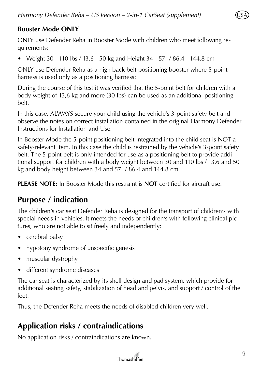

#### **Booster Mode ONLY**

ONLY use Defender Reha in Booster Mode with children who meet following requirements:

• Weight 30 - 110 lbs / 13.6 - 50 kg and Height 34 - 57" / 86.4 - 144.8 cm

ONLY use Defender Reha as a high back belt-positioning booster where 5-point harness is used only as a positioning harness:

During the course of this test it was verified that the 5-point belt for children with a body weight of 13,6 kg and more (30 lbs) can be used as an additional positioning belt.

In this case, ALWAYS secure your child using the vehicle's 3-point safety belt and observe the notes on correct installation contained in the original Harmony Defender Instructions for Installation and Use.

In Booster Mode the 5-point positioning belt integrated into the child seat is NOT a safety-relevant item. In this case the child is restrained by the vehicle's 3-point safety belt. The 5-point belt is only intended for use as a positioning belt to provide additional support for children with a body weight between 30 and 110 lbs / 13.6 and 50 kg and body height between 34 and 57" / 86.4 and 144.8 cm

**PLEASE NOTE:** In Booster Mode this restraint is **NOT** certified for aircraft use.

### **Purpose / indication**

The children's car seat Defender Reha is designed for the transport of children's with special needs in vehicles. It meets the needs of children's with following clinical pictures, who are not able to sit freely and independently:

- cerebral palsy
- hypotony syndrome of unspecific genesis
- muscular dystrophy
- different syndrome diseases

The car seat is characterized by its shell design and pad system, which provide for additional seating safety, stabilization of head and pelvis, and support / control of the feet.

Thus, the Defender Reha meets the needs of disabled children very well.

## **Application risks / contraindications**

No application risks / contraindications are known.

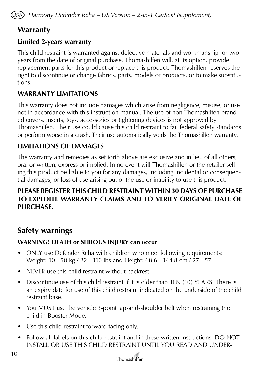*Harmony Defender Reha – US Version – 2-in-1 CarSeat (supplement)*

### **Warranty**

#### **Limited 2-years warranty**

This child restraint is warranted against defective materials and workmanship for two years from the date of original purchase. Thomashilfen will, at its option, provide replacement parts for this product or replace this product. Thomashilfen reserves the right to discontinue or change fabrics, parts, models or products, or to make substitutions.

#### **WARRANTY LIMITATIONS**

This warranty does not include damages which arise from negligence, misuse, or use not in accordance with this instruction manual. The use of non-Thomashilfen branded covers, inserts, toys, accessories or tightening devices is not approved by Thomashilfen. Their use could cause this child restraint to fail federal safety standards or perform worse in a crash. Their use automatically voids the Thomashilfen warranty.

#### **LIMITATIONS OF DAMAGES**

The warranty and remedies as set forth above are exclusive and in lieu of all others, oral or written, express or implied. In no event will Thomashilfen or the retailer selling this product be liable to you for any damages, including incidental or consequential damages, or loss of use arising out of the use or inability to use this product.

#### **PLEASE REGISTER THIS CHILD RESTRAINT WITHIN 30 DAYS OF PURCHASE TO EXPEDITE WARRANTY CLAIMS AND TO VERIFY ORIGINAL DATE OF PURCHASE.**

### **Safety warnings**

#### **WARNING! DEATH or SERIOUS INJURY can occur**

- ONLY use Defender Reha with children who meet following requirements: Weight: 10 - 50 kg / 22 - 110 lbs and Height: 68.6 - 144.8 cm / 27 - 57"
- NEVER use this child restraint without backrest.
- Discontinue use of this child restraint if it is older than TEN (10) YEARS. There is an expiry date for use of this child restraint indicated on the underside of the child restraint base.
- You MUST use the vehicle 3-point lap-and-shoulder belt when restraining the child in Booster Mode.
- Use this child restraint forward facing only.
- Follow all labels on this child restraint and in these written instructions. DO NOT INSTALL OR USE THIS CHILD RESTRAINT UNTIL YOU READ AND UNDER-

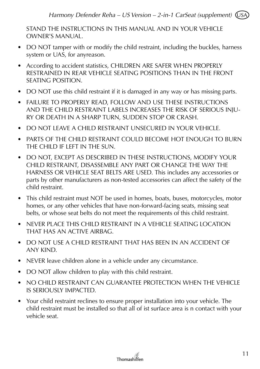STAND THE INSTRUCTIONS IN THIS MANUAL AND IN YOUR VEHICLE OWNER'S MANUAL.

- DO NOT tamper with or modify the child restraint, including the buckles, harness system or UAS, for anyreason.
- According to accident statistics, CHILDREN ARE SAFER WHEN PROPERLY RESTRAINED IN REAR VEHICLE SEATING POSITIONS THAN IN THE FRONT SEATING POSITION.
- DO NOT use this child restraint if it is damaged in any way or has missing parts.
- FAILURE TO PROPERLY READ, FOLLOW AND USE THESE INSTRUCTIONS AND THE CHILD RESTRAINT LABELS INCREASES THE RISK OF SERIOUS INJU-RY OR DEATH IN A SHARP TURN, SUDDEN STOP OR CRASH.
- DO NOT LEAVE A CHILD RESTRAINT UNSECURED IN YOUR VEHICLE.
- PARTS OF THE CHILD RESTRAINT COULD BECOME HOT ENOUGH TO BURN THE CHILD IF LEFT IN THE SUN.
- DO NOT, EXCEPT AS DESCRIBED IN THESE INSTRUCTIONS, MODIFY YOUR CHILD RESTRAINT, DISASSEMBLE ANY PART OR CHANGE THE WAY THE HARNESS OR VEHICLE SEAT BELTS ARE USED. This includes any accessories or parts by other manufacturers as non-tested accessories can affect the safety of the child restraint.
- This child restraint must NOT be used in homes, boats, buses, motorcycles, motor homes, or any other vehicles that have non-forward-facing seats, missing seat belts, or whose seat belts do not meet the requirements of this child restraint.
- NEVER PLACE THIS CHILD RESTRAINT IN A VEHICLE SEATING LOCATION THAT HAS AN ACTIVE AIRBAG.
- DO NOT USE A CHILD RESTRAINT THAT HAS BEEN IN AN ACCIDENT OF ANY KIND.
- NEVER leave children alone in a vehicle under any circumstance.
- DO NOT allow children to play with this child restraint.
- NO CHILD RESTRAINT CAN GUARANTEE PROTECTION WHEN THE VEHICLE IS SERIOUSLY IMPACTED.
- Your child restraint reclines to ensure proper installation into your vehicle. The child restraint must be installed so that all of ist surface area is n contact with your vehicle seat.

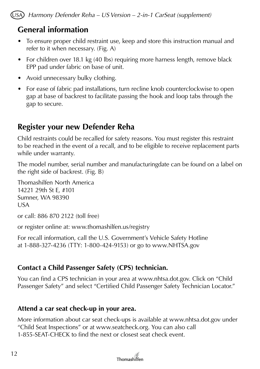*Harmony Defender Reha – US Version – 2-in-1 CarSeat (supplement)*

### **General information**

- To ensure proper child restraint use, keep and store this instruction manual and refer to it when necessary. (Fig. A)
- For children over 18.1 kg (40 lbs) requiring more harness length, remove black EPP pad under fabric on base of unit.
- Avoid unnecessary bulky clothing.
- For ease of fabric pad installations, turn recline knob counterclockwise to open gap at base of backrest to facilitate passing the hook and loop tabs through the gap to secure.

## **Register your new Defender Reha**

Child restraints could be recalled for safety reasons. You must register this restraint to be reached in the event of a recall, and to be eligible to receive replacement parts while under warranty.

The model number, serial number and manufacturingdate can be found on a label on the right side of backrest. (Fig. B)

Thomashilfen North America 14221 29th St E, #101 Sumner, WA 98390 USA

or call: 886 870 2122 (toll free)

or register online at: www.thomashilfen.us/registry

For recall information, call the U.S. Government's Vehicle Safety Hotline at 1-888-327-4236 (TTY: 1-800-424-9153) or go to www.NHTSA.gov

### **Contact a Child Passenger Safety (CPS) technician.**

You can find a CPS technician in your area at www.nhtsa.dot.gov. Click on "Child Passenger Safety" and select "Certified Child Passenger Safety Technician Locator."

#### **Attend a car seat check-up in your area.**

More information about car seat check-ups is available at www.nhtsa.dot.gov under "Child Seat Inspections" or at www.seatcheck.org. You can also call 1-855-SEAT-CHECK to find the next or closest seat check event.

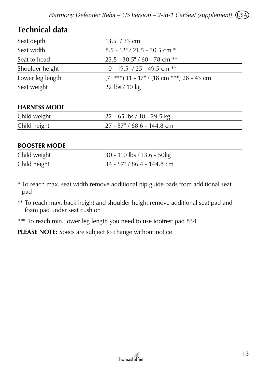## **Technical data**

| Seat depth       | $13.5$ " / 33 cm                                  |
|------------------|---------------------------------------------------|
| Seat width       | $8.5 - 12$ " / 21.5 - 30.5 cm $*$                 |
| Seat to head     | $23.5 - 30.5$ " / 60 - 78 cm **                   |
| Shoulder height  | 10 - 19.5" / 25 - 49.5 cm $**$                    |
| Lower leg length | $(7^{\mu}$ ***) 11 - 17" / (18 cm ***) 28 - 43 cm |
| Seat weight      | 22 lbs / 10 kg                                    |

#### **HARNESS MODE**

| Child weight | 22 - 65 lbs / 10 - 29.5 kg    |
|--------------|-------------------------------|
| Child height | $27 - 57$ " / 68.6 - 144.8 cm |

#### **BOOSTER MODE**

| Child weight | 30 - 110 lbs / 13.6 - 50kg    |
|--------------|-------------------------------|
| Child height | $34 - 57$ " / 86.4 - 144.8 cm |

\* To reach max. seat width remove additional hip guide pads from additional seat pad

\*\* To reach max. back height and shoulder height remove additional seat pad and foam pad under seat cushion

\*\*\* To reach min. lower leg length you need to use footrest pad 834

**PLEASE NOTE:** Specs are subject to change without notice

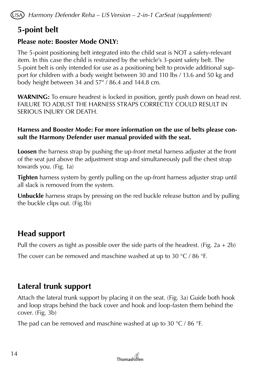## **5-point belt**

#### **Please note: Booster Mode ONLY:**

The 5-point positioning belt integrated into the child seat is NOT a safety-relevant item. In this case the child is restrained by the vehicle's 3-point safety belt. The 5-point belt is only intended for use as a positioning belt to provide additional support for children with a body weight between 30 and 110 lbs / 13.6 and 50 kg and body height between 34 and 57" / 86.4 and 144.8 cm.

**WARNING:** To ensure headrest is locked in position, gently push down on head rest. FAILURE TO ADJUST THE HARNESS STRAPS CORRECTLY COULD RESULT IN SERIOUS INJURY OR DEATH.

#### **Harness and Booster Mode: For more information on the use of belts please consult the Harmony Defender user manual provided with the seat.**

**Loosen** the harness strap by pushing the up-front metal harness adjuster at the front of the seat just above the adjustment strap and simultaneously pull the chest strap towards you. (Fig. 1a)

**Tighten** harness system by gently pulling on the up-front harness adjuster strap until all slack is removed from the system.

**Unbuckle** harness straps by pressing on the red buckle release button and by pulling the buckle clips out. (Fig.1b)

## **Head support**

Pull the covers as tight as possible over the side parts of the headrest. (Fig. 2a + 2b)

The cover can be removed and maschine washed at up to 30 °C / 86 °F.

## **Lateral trunk support**

Attach the lateral trunk support by placing it on the seat. (Fig. 3a) Guide both hook and loop straps behind the back cover and hook and loop-fasten them behind the cover. (Fig. 3b)

The pad can be removed and maschine washed at up to 30  $\degree$ C / 86  $\degree$ F.

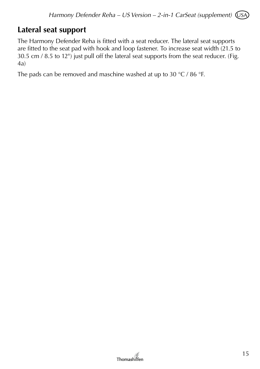### **Lateral seat support**

The Harmony Defender Reha is fitted with a seat reducer. The lateral seat supports are fitted to the seat pad with hook and loop fastener. To increase seat width (21.5 to 30.5 cm / 8.5 to 12") just pull off the lateral seat supports from the seat reducer. (Fig. 4a)

The pads can be removed and maschine washed at up to 30 °C / 86 °F.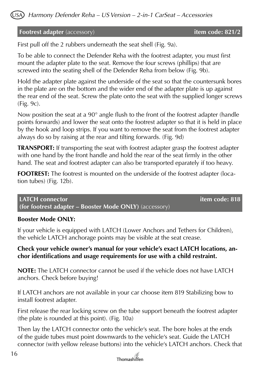

#### **Footrest adapter** (accessory) **item code: 821/2**

First pull off the 2 rubbers underneath the seat shell (Fig. 9a).

To be able to connect the Defender Reha with the footrest adapter, you must first mount the adapter plate to the seat. Remove the four screws (phillips) that are screwed into the seating shell of the Defender Reha from below (Fig. 9b).

Hold the adapter plate against the underside of the seat so that the countersunk bores in the plate are on the bottom and the wider end of the adapter plate is up against the rear end of the seat. Screw the plate onto the seat with the supplied longer screws (Fig. 9c).

Now position the seat at a 90° angle flush to the front of the footrest adapter (handle points forwards) and lower the seat onto the footrest adapter so that it is held in place by the hook and loop strips. If you want to remove the seat from the footrest adapter always do so by raising at the rear and tilting forwards. (Fig. 9d)

**TRANSPORT:** If transporting the seat with footrest adapter grasp the footrest adapter with one hand by the front handle and hold the rear of the seat firmly in the other hand. The seat and footrest adapter can also be transported eparately if too heavy.

**FOOTREST:** The footrest is mounted on the underside of the footrest adapter (location tubes) (Fig. 12b).

**LATCH connector intervalse and the code: 818 (for footrest adapter – Booster Mode ONLY)** (accessory)

#### **Booster Mode ONLY:**

If your vehicle is equipped with LATCH (Lower Anchors and Tethers for Children), the vehicle LATCH anchorage points may be visible at the seat crease.

#### **Check your vehicle owner's manual for your vehicle's exact LATCH locations, anchor identifications and usage requirements for use with a child restraint.**

**NOTE:** The LATCH connector cannot be used if the vehicle does not have LATCH anchors. Check before buying!

If LATCH anchors are not available in your car choose item 819 Stabilizing bow to install footrest adapter.

First release the rear locking screw on the tube support beneath the footrest adapter (the plate is rounded at this point). (Fig. 10a)

Then lay the LATCH connector onto the vehicle's seat. The bore holes at the ends of the guide tubes must point downwards to the vehicle's seat. Guide the LATCH connector (with yellow release buttons) into the vehicle's LATCH anchors. Check that

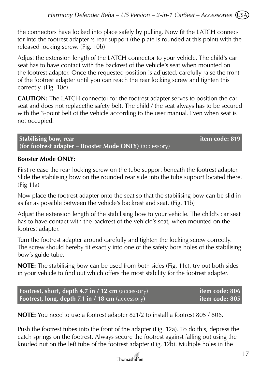the connectors have locked into place safely by pulling. Now fit the LATCH connector into the footrest adapter 's rear support (the plate is rounded at this point) with the released locking screw. (Fig. 10b)

Adjust the extension length of the LATCH connector to your vehicle. The child's car seat has to have contact with the backrest of the vehicle's seat when mounted on the footrest adapter. Once the requested position is adjusted, carefully raise the front of the footrest adapter until you can reach the rear locking screw and tighten this correctly. (Fig. 10c)

**CAUTION:** The LATCH connector for the footrest adapter serves to position the car seat and does not replacethe safety belt. The child / the seat always has to be secured with the 3-point belt of the vehicle according to the user manual. Even when seat is not occupied.

**Stabilising bow, rear item code: 819 (for footrest adapter – Booster Mode ONLY)** (accessory)

#### **Booster Mode ONLY:**

First release the rear locking screw on the tube support beneath the footrest adapter. Slide the stabilising bow on the rounded rear side into the tube support located there. (Fig 11a)

Now place the footrest adapter onto the seat so that the stabilising bow can be slid in as far as possible between the vehicle's backrest and seat. (Fig. 11b)

Adjust the extension length of the stabilising bow to your vehicle. The child's car seat has to have contact with the backrest of the vehicle's seat, when mounted on the footrest adapter.

Turn the footrest adapter around carefully and tighten the locking screw correctly. The screw should hereby fit exactly into one of the safety bore holes of the stabilising bow's guide tube.

**NOTE:** The stabilising bow can be used from both sides (Fig. 11c), try out both sides in your vehicle to find out which offers the most stability for the footrest adapter.

| <b>Footrest, short, depth 4.7 in / 12 cm</b> (accessory) | item code: 806 |
|----------------------------------------------------------|----------------|
| <b>Footrest, long, depth 7.1 in / 18 cm</b> (accessory)  | item code: 805 |

**NOTE:** You need to use a footrest adapter 821/2 to install a footrest 805 / 806.

Push the footrest tubes into the front of the adapter (Fig. 12a). To do this, depress the catch springs on the footrest. Always secure the footrest against falling out using the knurled nut on the left tube of the footrest adapter (Fig. 12b). Multiple holes in the

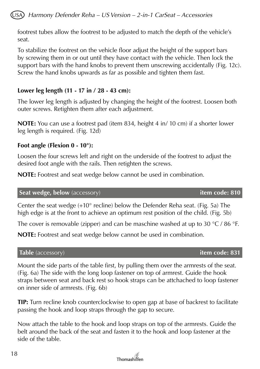footrest tubes allow the footrest to be adjusted to match the depth of the vehicle's seat.

To stabilize the footrest on the vehicle floor adjust the height of the support bars by screwing them in or out until they have contact with the vehicle. Then lock the support bars with the hand knobs to prevent them unscrewing accidentally (Fig. 12c). Screw the hand knobs upwards as far as possible and tighten them fast.

#### **Lower leg length (11 - 17 in / 28 - 43 cm):**

The lower leg length is adjusted by changing the height of the footrest. Loosen both outer screws. Retighten them after each adjustment.

**NOTE:** You can use a footrest pad (item 834, height 4 in/ 10 cm) if a shorter lower leg length is required. (Fig. 12d)

#### **Foot angle (Flexion 0 - 10°):**

Loosen the four screws left and right on the underside of the footrest to adjust the desired foot angle with the rails. Then retighten the screws.

**NOTE:** Footrest and seat wedge below cannot be used in combination.

**Seat wedge, below** (accessory) **item code: 810**

Center the seat wedge  $(+10^{\circ}$  recline) below the Defender Reha seat. (Fig. 5a) The high edge is at the front to achieve an optimum rest position of the child. (Fig. 5b)

The cover is removable (zipper) and can be maschine washed at up to 30  $\degree$ C / 86  $\degree$ F.

**NOTE:** Footrest and seat wedge below cannot be used in combination.

#### **Table** (accessory) **item code: 831**

Mount the side parts of the table first, by pulling them over the armrests of the seat. (Fig. 6a) The side with the long loop fastener on top of armrest. Guide the hook straps between seat and back rest so hook straps can be attchached to loop fastener on inner side of armrests. (Fig. 6b)

**TIP:** Turn recline knob counterclockwise to open gap at base of backrest to facilitate passing the hook and loop straps through the gap to secure.

Now attach the table to the hook and loop straps on top of the armrests. Guide the belt around the back of the seat and fasten it to the hook and loop fastener at the side of the table.

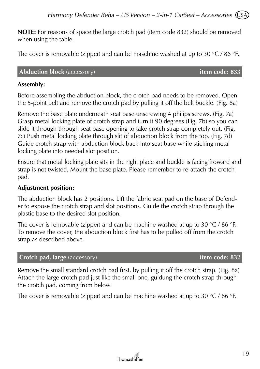**NOTE:** For reasons of space the large crotch pad (item code 832) should be removed when using the table.

The cover is removable (zipper) and can be maschine washed at up to 30 °C / 86 °F.

#### **Abduction block** (accessory) **item code: 833**

#### **Assembly:**

Before assembling the abduction block, the crotch pad needs to be removed. Open the 5-point belt and remove the crotch pad by pulling it off the belt buckle. (Fig. 8a)

Remove the base plate underneath seat base unscrewing 4 philips screws. (Fig. 7a) Grasp metal locking plate of crotch strap and turn it 90 degrees (Fig. 7b) so you can slide it through through seat base opening to take crotch strap completely out. (Fig. 7c) Push metal locking plate through slit of abduction block from the top. (Fig. 7d) Guide crotch strap with abduction block back into seat base while sticking metal locking plate into needed slot position.

Ensure that metal locking plate sits in the right place and buckle is facing froward and strap is not twisted. Mount the base plate. Please remember to re-attach the crotch pad.

#### **Adjustment position:**

The abduction block has 2 positions. Lift the fabric seat pad on the base of Defender to expose the crotch strap and slot positions. Guide the crotch strap through the plastic base to the desired slot position.

The cover is removable (zipper) and can be machine washed at up to 30  $\degree$ C / 86  $\degree$ F. To remove the cover, the abduction block first has to be pulled off from the crotch strap as described above.

#### **Crotch pad, large** (accessory) **item code: 832**

Remove the small standard crotch pad first, by pulling it off the crotch strap. (Fig. 8a) Attach the large crotch pad just like the small one, guidung the crotch strap through the crotch pad, coming from below.

The cover is removable (zipper) and can be machine washed at up to 30 °C / 86 °F.